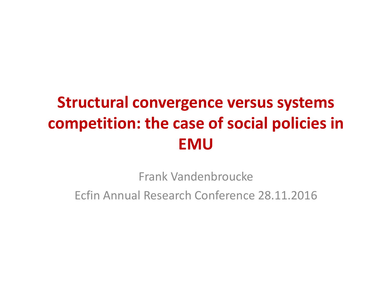# **Structural convergence versus systems competition: the case of social policies in EMU**

Frank Vandenbroucke Ecfin Annual Research Conference 28.11.2016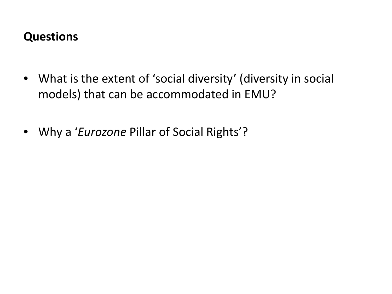#### **Questions**

- What is the extent of 'social diversity' (diversity in social models) that can be accommodated in EMU?
- Why a '*Eurozone* Pillar of Social Rights'?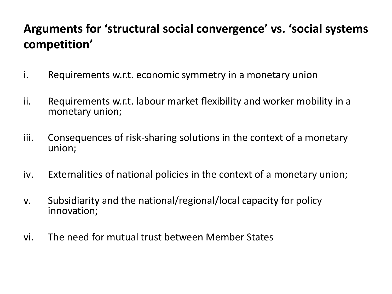# **Arguments for 'structural social convergence' vs. 'social systems competition'**

- i. Requirements w.r.t. economic symmetry in a monetary union
- ii. Requirements w.r.t. labour market flexibility and worker mobility in a monetary union;
- iii. Consequences of risk-sharing solutions in the context of a monetary union;
- iv. Externalities of national policies in the context of a monetary union;
- v. Subsidiarity and the national/regional/local capacity for policy innovation;
- vi. The need for mutual trust between Member States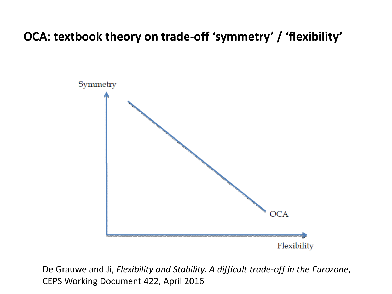## **OCA: textbook theory on trade-off 'symmetry' / 'flexibility'**



De Grauwe and Ji, *Flexibility and Stability. A difficult trade-off in the Eurozone*, CEPS Working Document 422, April 2016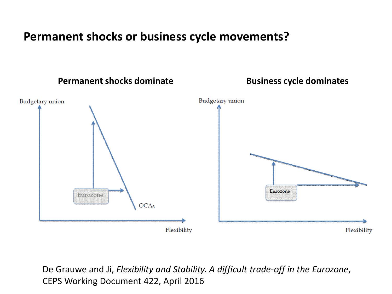#### **Permanent shocks or business cycle movements?**



De Grauwe and Ji, *Flexibility and Stability. A difficult trade-off in the Eurozone*, CEPS Working Document 422, April 2016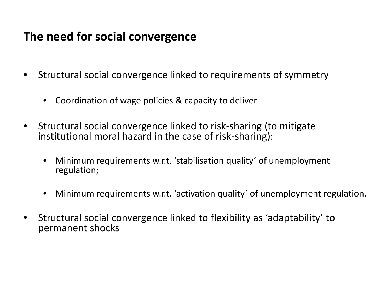### **The need for social convergence**

- Structural social convergence linked to requirements of symmetry
	- Coordination of wage policies & capacity to deliver
- Structural social convergence linked to risk-sharing (to mitigate institutional moral hazard in the case of risk-sharing):
	- Minimum requirements w.r.t. 'stabilisation quality' of unemployment regulation;
	- Minimum requirements w.r.t. 'activation quality' of unemployment regulation.
- Structural social convergence linked to flexibility as 'adaptability' to permanent shocks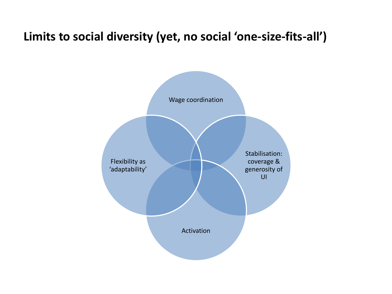#### **Limits to social diversity (yet, no social 'one-size-fits-all')**